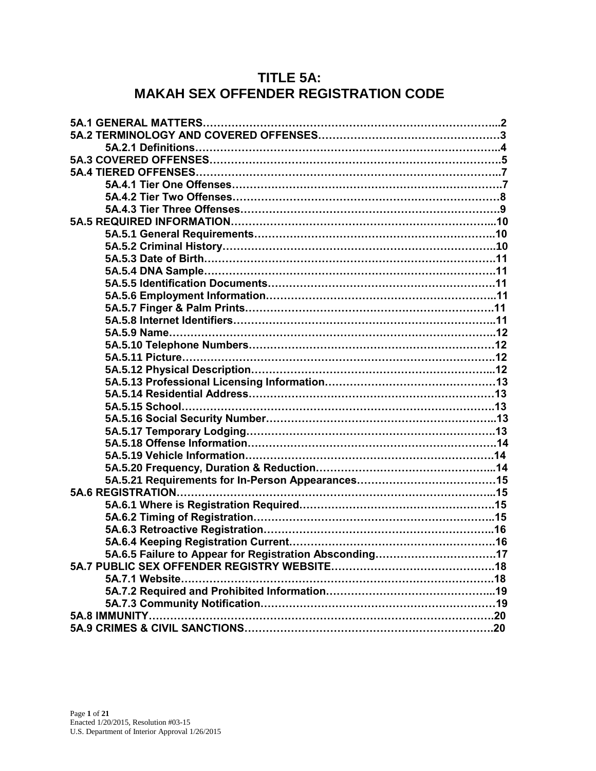## **TITLE 5A: MAKAH SEX OFFENDER REGISTRATION CODE**

| 5A.6.5 Failure to Appear for Registration Absconding17 |  |
|--------------------------------------------------------|--|
|                                                        |  |
|                                                        |  |
|                                                        |  |
|                                                        |  |
| 5A.8 IMMUNITY                                          |  |
|                                                        |  |
|                                                        |  |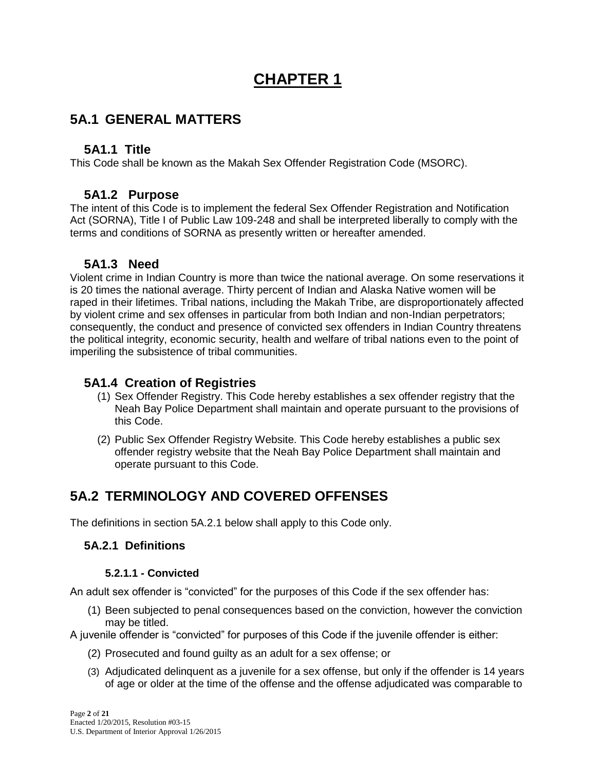# **CHAPTER 1**

## **5A.1 GENERAL MATTERS**

### **5A1.1 Title**

This Code shall be known as the Makah Sex Offender Registration Code (MSORC).

## **5A1.2 Purpose**

The intent of this Code is to implement the federal Sex Offender Registration and Notification Act (SORNA), Title I of Public Law 109-248 and shall be interpreted liberally to comply with the terms and conditions of SORNA as presently written or hereafter amended.

## **5A1.3 Need**

Violent crime in Indian Country is more than twice the national average. On some reservations it is 20 times the national average. Thirty percent of Indian and Alaska Native women will be raped in their lifetimes. Tribal nations, including the Makah Tribe, are disproportionately affected by violent crime and sex offenses in particular from both Indian and non-Indian perpetrators; consequently, the conduct and presence of convicted sex offenders in Indian Country threatens the political integrity, economic security, health and welfare of tribal nations even to the point of imperiling the subsistence of tribal communities.

## **5A1.4 Creation of Registries**

- (1) Sex Offender Registry. This Code hereby establishes a sex offender registry that the Neah Bay Police Department shall maintain and operate pursuant to the provisions of this Code.
- (2) Public Sex Offender Registry Website. This Code hereby establishes a public sex offender registry website that the Neah Bay Police Department shall maintain and operate pursuant to this Code.

## **5A.2 TERMINOLOGY AND COVERED OFFENSES**

The definitions in section 5A.2.1 below shall apply to this Code only.

## **5A.2.1 Definitions**

#### **5.2.1.1 - Convicted**

An adult sex offender is "convicted" for the purposes of this Code if the sex offender has:

(1) Been subjected to penal consequences based on the conviction, however the conviction may be titled.

A juvenile offender is "convicted" for purposes of this Code if the juvenile offender is either:

- (2) Prosecuted and found guilty as an adult for a sex offense; or
- (3) Adjudicated delinquent as a juvenile for a sex offense, but only if the offender is 14 years of age or older at the time of the offense and the offense adjudicated was comparable to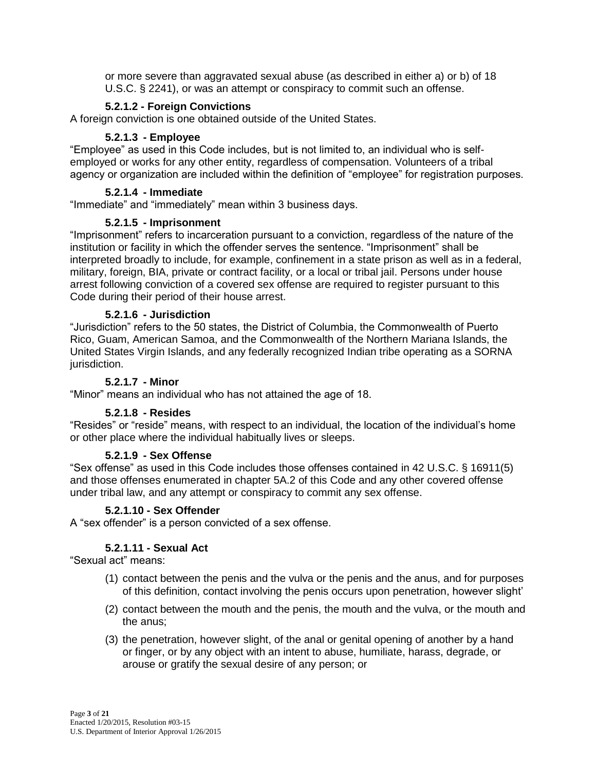or more severe than aggravated sexual abuse (as described in either a) or b) of 18 U.S.C. § 2241), or was an attempt or conspiracy to commit such an offense.

#### **5.2.1.2 - Foreign Convictions**

A foreign conviction is one obtained outside of the United States.

#### **5.2.1.3 - Employee**

"Employee" as used in this Code includes, but is not limited to, an individual who is selfemployed or works for any other entity, regardless of compensation. Volunteers of a tribal agency or organization are included within the definition of "employee" for registration purposes.

#### **5.2.1.4 - Immediate**

"Immediate" and "immediately" mean within 3 business days.

#### **5.2.1.5 - Imprisonment**

"Imprisonment" refers to incarceration pursuant to a conviction, regardless of the nature of the institution or facility in which the offender serves the sentence. "Imprisonment" shall be interpreted broadly to include, for example, confinement in a state prison as well as in a federal, military, foreign, BIA, private or contract facility, or a local or tribal jail. Persons under house arrest following conviction of a covered sex offense are required to register pursuant to this Code during their period of their house arrest.

#### **5.2.1.6 - Jurisdiction**

"Jurisdiction" refers to the 50 states, the District of Columbia, the Commonwealth of Puerto Rico, Guam, American Samoa, and the Commonwealth of the Northern Mariana Islands, the United States Virgin Islands, and any federally recognized Indian tribe operating as a SORNA jurisdiction.

#### **5.2.1.7 - Minor**

"Minor" means an individual who has not attained the age of 18.

#### **5.2.1.8 - Resides**

"Resides" or "reside" means, with respect to an individual, the location of the individual's home or other place where the individual habitually lives or sleeps.

#### **5.2.1.9 - Sex Offense**

"Sex offense" as used in this Code includes those offenses contained in 42 U.S.C. § 16911(5) and those offenses enumerated in chapter 5A.2 of this Code and any other covered offense under tribal law, and any attempt or conspiracy to commit any sex offense.

#### **5.2.1.10 - Sex Offender**

A "sex offender" is a person convicted of a sex offense.

#### **5.2.1.11 - Sexual Act**

"Sexual act" means:

- (1) contact between the penis and the vulva or the penis and the anus, and for purposes of this definition, contact involving the penis occurs upon penetration, however slight'
- (2) contact between the mouth and the penis, the mouth and the vulva, or the mouth and the anus;
- (3) the penetration, however slight, of the anal or genital opening of another by a hand or finger, or by any object with an intent to abuse, humiliate, harass, degrade, or arouse or gratify the sexual desire of any person; or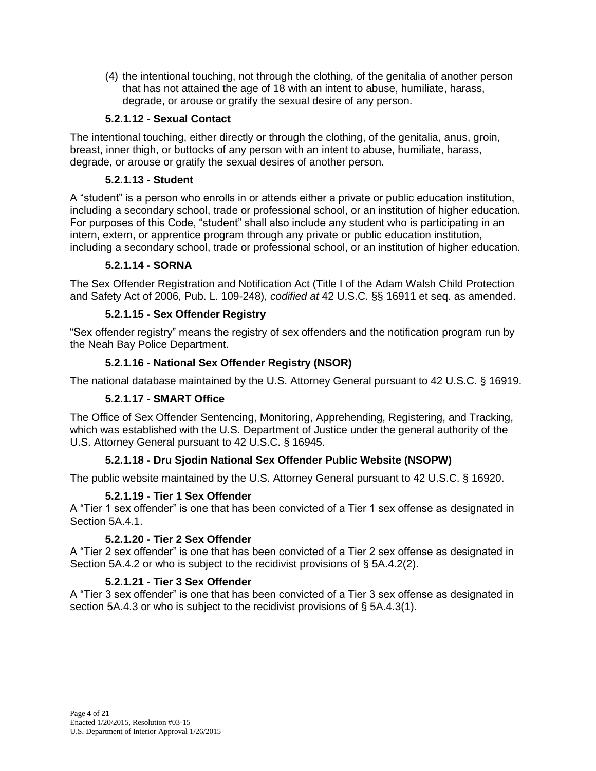(4) the intentional touching, not through the clothing, of the genitalia of another person that has not attained the age of 18 with an intent to abuse, humiliate, harass, degrade, or arouse or gratify the sexual desire of any person.

#### **5.2.1.12 - Sexual Contact**

The intentional touching, either directly or through the clothing, of the genitalia, anus, groin, breast, inner thigh, or buttocks of any person with an intent to abuse, humiliate, harass, degrade, or arouse or gratify the sexual desires of another person.

#### **5.2.1.13 - Student**

A "student" is a person who enrolls in or attends either a private or public education institution, including a secondary school, trade or professional school, or an institution of higher education. For purposes of this Code, "student" shall also include any student who is participating in an intern, extern, or apprentice program through any private or public education institution, including a secondary school, trade or professional school, or an institution of higher education.

#### **5.2.1.14 - SORNA**

The Sex Offender Registration and Notification Act (Title I of the Adam Walsh Child Protection and Safety Act of 2006, Pub. L. 109-248), *codified at* 42 U.S.C. §§ 16911 et seq. as amended.

#### **5.2.1.15 - Sex Offender Registry**

"Sex offender registry" means the registry of sex offenders and the notification program run by the Neah Bay Police Department.

#### **5.2.1.16** - **National Sex Offender Registry (NSOR)**

The national database maintained by the U.S. Attorney General pursuant to 42 U.S.C. § 16919.

#### **5.2.1.17 - SMART Office**

The Office of Sex Offender Sentencing, Monitoring, Apprehending, Registering, and Tracking, which was established with the U.S. Department of Justice under the general authority of the U.S. Attorney General pursuant to 42 U.S.C. § 16945.

#### **5.2.1.18 - Dru Sjodin National Sex Offender Public Website (NSOPW)**

The public website maintained by the U.S. Attorney General pursuant to 42 U.S.C. § 16920.

#### **5.2.1.19 - Tier 1 Sex Offender**

A "Tier 1 sex offender" is one that has been convicted of a Tier 1 sex offense as designated in Section 5A.4.1.

#### **5.2.1.20 - Tier 2 Sex Offender**

A "Tier 2 sex offender" is one that has been convicted of a Tier 2 sex offense as designated in Section 5A.4.2 or who is subject to the recidivist provisions of § 5A.4.2(2).

#### **5.2.1.21 - Tier 3 Sex Offender**

A "Tier 3 sex offender" is one that has been convicted of a Tier 3 sex offense as designated in section 5A.4.3 or who is subject to the recidivist provisions of § 5A.4.3(1).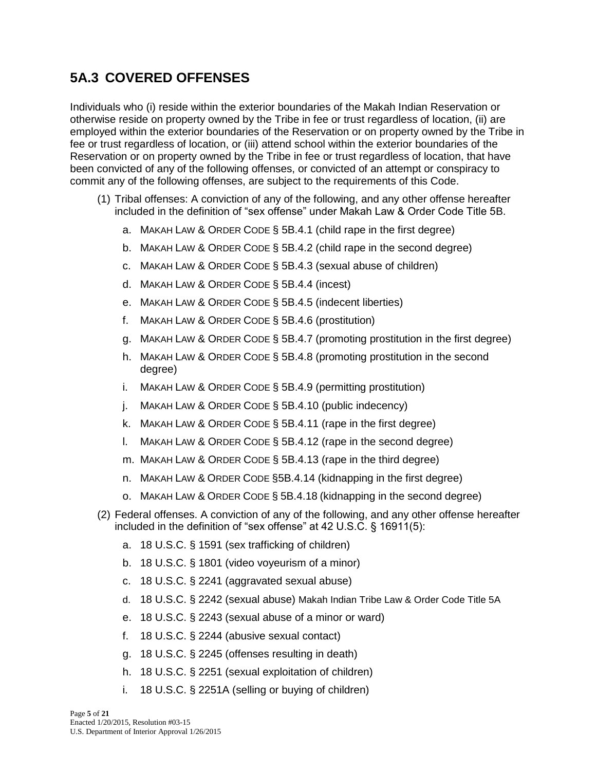## **5A.3 COVERED OFFENSES**

Individuals who (i) reside within the exterior boundaries of the Makah Indian Reservation or otherwise reside on property owned by the Tribe in fee or trust regardless of location, (ii) are employed within the exterior boundaries of the Reservation or on property owned by the Tribe in fee or trust regardless of location, or (iii) attend school within the exterior boundaries of the Reservation or on property owned by the Tribe in fee or trust regardless of location, that have been convicted of any of the following offenses, or convicted of an attempt or conspiracy to commit any of the following offenses, are subject to the requirements of this Code.

- (1) Tribal offenses: A conviction of any of the following, and any other offense hereafter included in the definition of "sex offense" under Makah Law & Order Code Title 5B.
	- a. MAKAH LAW & ORDER CODE § 5B.4.1 (child rape in the first degree)
	- b. MAKAH LAW & ORDER CODE § 5B.4.2 (child rape in the second degree)
	- c. MAKAH LAW & ORDER CODE § 5B.4.3 (sexual abuse of children)
	- d. MAKAH LAW & ORDER CODE § 5B.4.4 (incest)
	- e. MAKAH LAW & ORDER CODE § 5B.4.5 (indecent liberties)
	- f. MAKAH LAW & ORDER CODE § 5B.4.6 (prostitution)
	- g. MAKAH LAW & ORDER CODE § 5B.4.7 (promoting prostitution in the first degree)
	- h. MAKAH LAW & ORDER CODE § 5B.4.8 (promoting prostitution in the second degree)
	- i. MAKAH LAW & ORDER CODE § 5B.4.9 (permitting prostitution)
	- j. MAKAH LAW & ORDER CODE § 5B.4.10 (public indecency)
	- k. MAKAH LAW & ORDER CODE § 5B.4.11 (rape in the first degree)
	- l. MAKAH LAW & ORDER CODE § 5B.4.12 (rape in the second degree)
	- m. MAKAH LAW & ORDER CODE § 5B.4.13 (rape in the third degree)
	- n. MAKAH LAW & ORDER CODE §5B.4.14 (kidnapping in the first degree)
	- o. MAKAH LAW & ORDER CODE § 5B.4.18 (kidnapping in the second degree)
- (2) Federal offenses. A conviction of any of the following, and any other offense hereafter included in the definition of "sex offense" at 42 U.S.C. § 16911(5):
	- a. 18 U.S.C. § 1591 (sex trafficking of children)
	- b. 18 U.S.C. § 1801 (video voyeurism of a minor)
	- c. 18 U.S.C. § 2241 (aggravated sexual abuse)
	- d. 18 U.S.C. § 2242 (sexual abuse) Makah Indian Tribe Law & Order Code Title 5A
	- e. 18 U.S.C. § 2243 (sexual abuse of a minor or ward)
	- f. 18 U.S.C. § 2244 (abusive sexual contact)
	- g. 18 U.S.C. § 2245 (offenses resulting in death)
	- h. 18 U.S.C. § 2251 (sexual exploitation of children)
	- i. 18 U.S.C. § 2251A (selling or buying of children)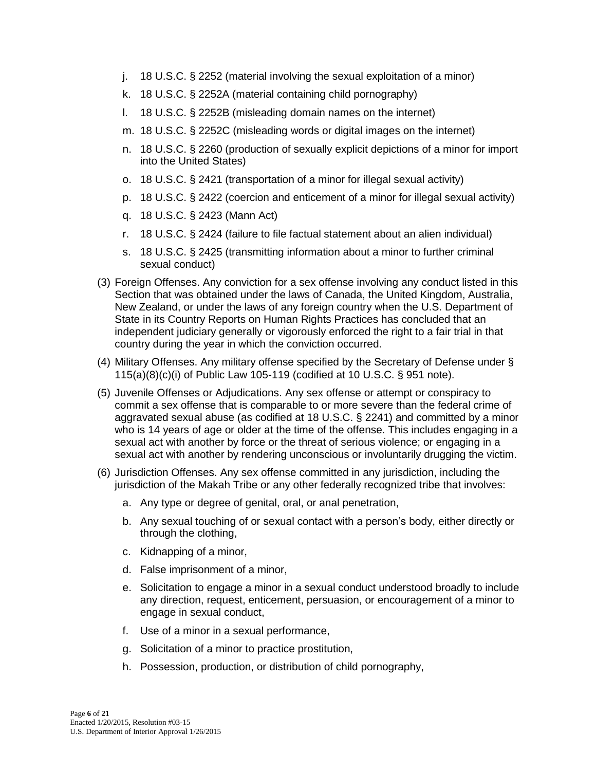- j. 18 U.S.C. § 2252 (material involving the sexual exploitation of a minor)
- k. 18 U.S.C. § 2252A (material containing child pornography)
- l. 18 U.S.C. § 2252B (misleading domain names on the internet)
- m. 18 U.S.C. § 2252C (misleading words or digital images on the internet)
- n. 18 U.S.C. § 2260 (production of sexually explicit depictions of a minor for import into the United States)
- o. 18 U.S.C. § 2421 (transportation of a minor for illegal sexual activity)
- p. 18 U.S.C. § 2422 (coercion and enticement of a minor for illegal sexual activity)
- q. 18 U.S.C. § 2423 (Mann Act)
- r. 18 U.S.C. § 2424 (failure to file factual statement about an alien individual)
- s. 18 U.S.C. § 2425 (transmitting information about a minor to further criminal sexual conduct)
- (3) Foreign Offenses. Any conviction for a sex offense involving any conduct listed in this Section that was obtained under the laws of Canada, the United Kingdom, Australia, New Zealand, or under the laws of any foreign country when the U.S. Department of State in its Country Reports on Human Rights Practices has concluded that an independent judiciary generally or vigorously enforced the right to a fair trial in that country during the year in which the conviction occurred.
- (4) Military Offenses. Any military offense specified by the Secretary of Defense under § 115(a)(8)(c)(i) of Public Law 105-119 (codified at 10 U.S.C. § 951 note).
- (5) Juvenile Offenses or Adjudications. Any sex offense or attempt or conspiracy to commit a sex offense that is comparable to or more severe than the federal crime of aggravated sexual abuse (as codified at 18 U.S.C. § 2241) and committed by a minor who is 14 years of age or older at the time of the offense. This includes engaging in a sexual act with another by force or the threat of serious violence; or engaging in a sexual act with another by rendering unconscious or involuntarily drugging the victim.
- (6) Jurisdiction Offenses. Any sex offense committed in any jurisdiction, including the jurisdiction of the Makah Tribe or any other federally recognized tribe that involves:
	- a. Any type or degree of genital, oral, or anal penetration,
	- b. Any sexual touching of or sexual contact with a person's body, either directly or through the clothing,
	- c. Kidnapping of a minor,
	- d. False imprisonment of a minor,
	- e. Solicitation to engage a minor in a sexual conduct understood broadly to include any direction, request, enticement, persuasion, or encouragement of a minor to engage in sexual conduct,
	- f. Use of a minor in a sexual performance,
	- g. Solicitation of a minor to practice prostitution,
	- h. Possession, production, or distribution of child pornography,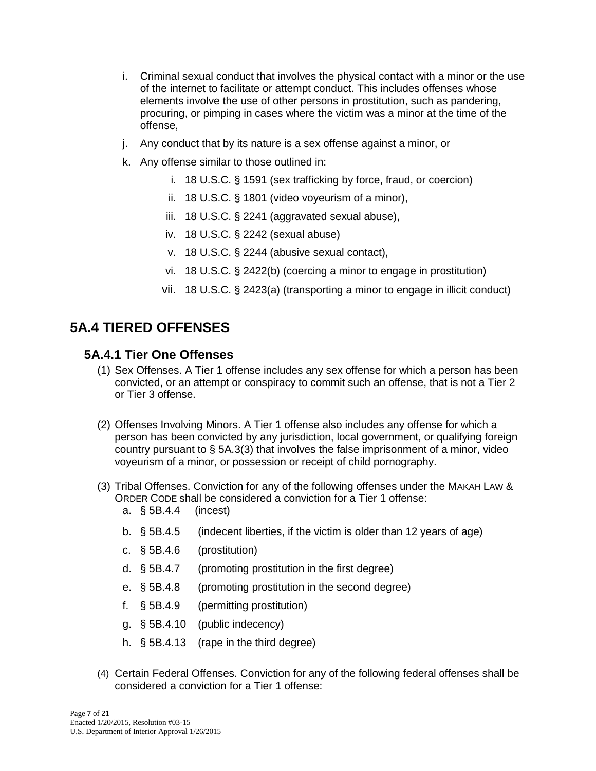- i. Criminal sexual conduct that involves the physical contact with a minor or the use of the internet to facilitate or attempt conduct. This includes offenses whose elements involve the use of other persons in prostitution, such as pandering, procuring, or pimping in cases where the victim was a minor at the time of the offense,
- j. Any conduct that by its nature is a sex offense against a minor, or
- k. Any offense similar to those outlined in:
	- i. 18 U.S.C. § 1591 (sex trafficking by force, fraud, or coercion)
	- ii. 18 U.S.C. § 1801 (video voyeurism of a minor),
	- iii. 18 U.S.C. § 2241 (aggravated sexual abuse),
	- iv. 18 U.S.C. § 2242 (sexual abuse)
	- v. 18 U.S.C. § 2244 (abusive sexual contact),
	- vi. 18 U.S.C. § 2422(b) (coercing a minor to engage in prostitution)
	- vii. 18 U.S.C. § 2423(a) (transporting a minor to engage in illicit conduct)

## **5A.4 TIERED OFFENSES**

#### **5A.4.1 Tier One Offenses**

- (1) Sex Offenses. A Tier 1 offense includes any sex offense for which a person has been convicted, or an attempt or conspiracy to commit such an offense, that is not a Tier 2 or Tier 3 offense.
- (2) Offenses Involving Minors. A Tier 1 offense also includes any offense for which a person has been convicted by any jurisdiction, local government, or qualifying foreign country pursuant to § 5A.3(3) that involves the false imprisonment of a minor, video voyeurism of a minor, or possession or receipt of child pornography.
- (3) Tribal Offenses. Conviction for any of the following offenses under the MAKAH LAW & ORDER CODE shall be considered a conviction for a Tier 1 offense:
	- a. § 5B.4.4 (incest)
	- b. § 5B.4.5 (indecent liberties, if the victim is older than 12 years of age)
	- c. § 5B.4.6 (prostitution)
	- d. § 5B.4.7 (promoting prostitution in the first degree)
	- e. § 5B.4.8 (promoting prostitution in the second degree)
	- f. § 5B.4.9 (permitting prostitution)
	- g. § 5B.4.10 (public indecency)
	- h. § 5B.4.13 (rape in the third degree)
- (4) Certain Federal Offenses. Conviction for any of the following federal offenses shall be considered a conviction for a Tier 1 offense: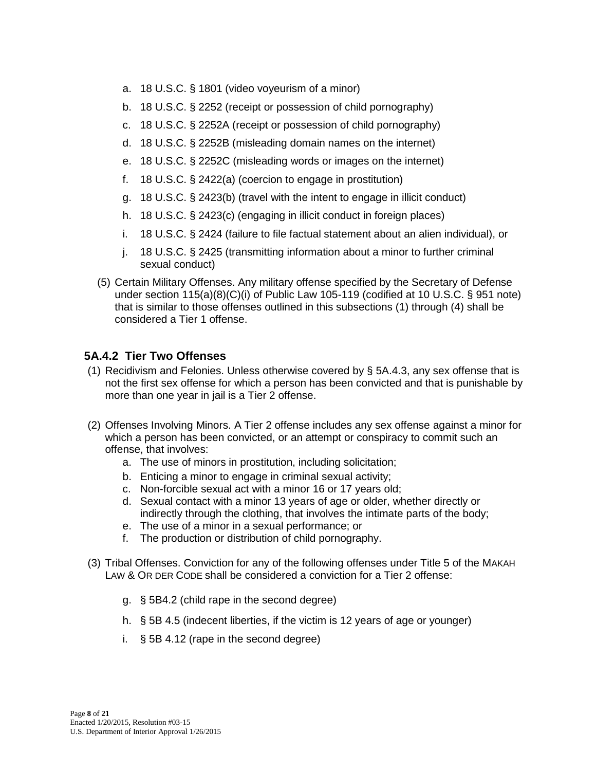- a. 18 U.S.C. § 1801 (video voyeurism of a minor)
- b. 18 U.S.C. § 2252 (receipt or possession of child pornography)
- c. 18 U.S.C. § 2252A (receipt or possession of child pornography)
- d. 18 U.S.C. § 2252B (misleading domain names on the internet)
- e. 18 U.S.C. § 2252C (misleading words or images on the internet)
- f. 18 U.S.C. § 2422(a) (coercion to engage in prostitution)
- g. 18 U.S.C. § 2423(b) (travel with the intent to engage in illicit conduct)
- h. 18 U.S.C. § 2423(c) (engaging in illicit conduct in foreign places)
- i. 18 U.S.C. § 2424 (failure to file factual statement about an alien individual), or
- j. 18 U.S.C. § 2425 (transmitting information about a minor to further criminal sexual conduct)
- (5) Certain Military Offenses. Any military offense specified by the Secretary of Defense under section 115(a)(8)(C)(i) of Public Law 105-119 (codified at 10 U.S.C. § 951 note) that is similar to those offenses outlined in this subsections (1) through (4) shall be considered a Tier 1 offense.

#### **5A.4.2 Tier Two Offenses**

- (1) Recidivism and Felonies. Unless otherwise covered by § 5A.4.3, any sex offense that is not the first sex offense for which a person has been convicted and that is punishable by more than one year in jail is a Tier 2 offense.
- (2) Offenses Involving Minors. A Tier 2 offense includes any sex offense against a minor for which a person has been convicted, or an attempt or conspiracy to commit such an offense, that involves:
	- a. The use of minors in prostitution, including solicitation;
	- b. Enticing a minor to engage in criminal sexual activity;
	- c. Non-forcible sexual act with a minor 16 or 17 years old;
	- d. Sexual contact with a minor 13 years of age or older, whether directly or indirectly through the clothing, that involves the intimate parts of the body;
	- e. The use of a minor in a sexual performance; or
	- f. The production or distribution of child pornography.
- (3) Tribal Offenses. Conviction for any of the following offenses under Title 5 of the MAKAH LAW & OR DER CODE shall be considered a conviction for a Tier 2 offense:
	- g. § 5B4.2 (child rape in the second degree)
	- h. § 5B 4.5 (indecent liberties, if the victim is 12 years of age or younger)
	- i. § 5B 4.12 (rape in the second degree)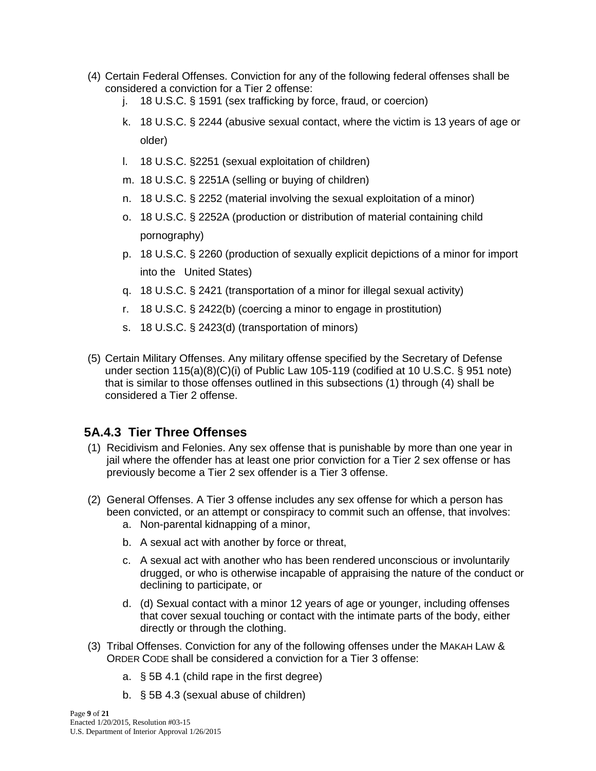- (4) Certain Federal Offenses. Conviction for any of the following federal offenses shall be considered a conviction for a Tier 2 offense:
	- j. 18 U.S.C. § 1591 (sex trafficking by force, fraud, or coercion)
	- k. 18 U.S.C. § 2244 (abusive sexual contact, where the victim is 13 years of age or older)
	- l. 18 U.S.C. §2251 (sexual exploitation of children)
	- m. 18 U.S.C. § 2251A (selling or buying of children)
	- n. 18 U.S.C. § 2252 (material involving the sexual exploitation of a minor)
	- o. 18 U.S.C. § 2252A (production or distribution of material containing child pornography)
	- p. 18 U.S.C. § 2260 (production of sexually explicit depictions of a minor for import into the United States)
	- q. 18 U.S.C. § 2421 (transportation of a minor for illegal sexual activity)
	- r. 18 U.S.C. § 2422(b) (coercing a minor to engage in prostitution)
	- s. 18 U.S.C. § 2423(d) (transportation of minors)
- (5) Certain Military Offenses. Any military offense specified by the Secretary of Defense under section 115(a)(8)(C)(i) of Public Law 105-119 (codified at 10 U.S.C. § 951 note) that is similar to those offenses outlined in this subsections (1) through (4) shall be considered a Tier 2 offense.

## **5A.4.3 Tier Three Offenses**

- (1) Recidivism and Felonies. Any sex offense that is punishable by more than one year in jail where the offender has at least one prior conviction for a Tier 2 sex offense or has previously become a Tier 2 sex offender is a Tier 3 offense.
- (2) General Offenses. A Tier 3 offense includes any sex offense for which a person has been convicted, or an attempt or conspiracy to commit such an offense, that involves:
	- a. Non-parental kidnapping of a minor,
	- b. A sexual act with another by force or threat,
	- c. A sexual act with another who has been rendered unconscious or involuntarily drugged, or who is otherwise incapable of appraising the nature of the conduct or declining to participate, or
	- d. (d) Sexual contact with a minor 12 years of age or younger, including offenses that cover sexual touching or contact with the intimate parts of the body, either directly or through the clothing.
- (3) Tribal Offenses. Conviction for any of the following offenses under the MAKAH LAW & ORDER CODE shall be considered a conviction for a Tier 3 offense:
	- a. § 5B 4.1 (child rape in the first degree)
	- b. § 5B 4.3 (sexual abuse of children)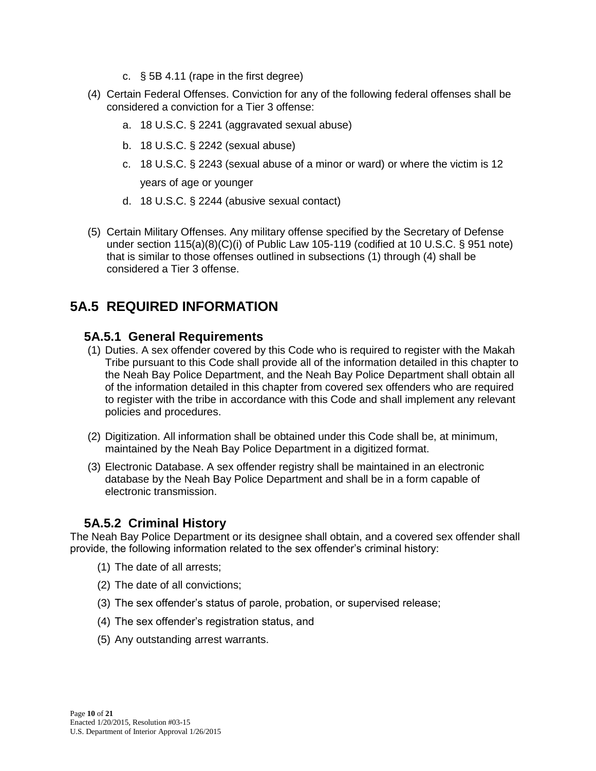- c. § 5B 4.11 (rape in the first degree)
- (4) Certain Federal Offenses. Conviction for any of the following federal offenses shall be considered a conviction for a Tier 3 offense:
	- a. 18 U.S.C. § 2241 (aggravated sexual abuse)
	- b. 18 U.S.C. § 2242 (sexual abuse)
	- c. 18 U.S.C. § 2243 (sexual abuse of a minor or ward) or where the victim is 12 years of age or younger
	- d. 18 U.S.C. § 2244 (abusive sexual contact)
- (5) Certain Military Offenses. Any military offense specified by the Secretary of Defense under section 115(a)(8)(C)(i) of Public Law 105-119 (codified at 10 U.S.C. § 951 note) that is similar to those offenses outlined in subsections (1) through (4) shall be considered a Tier 3 offense.

## **5A.5 REQUIRED INFORMATION**

### **5A.5.1 General Requirements**

- (1) Duties. A sex offender covered by this Code who is required to register with the Makah Tribe pursuant to this Code shall provide all of the information detailed in this chapter to the Neah Bay Police Department, and the Neah Bay Police Department shall obtain all of the information detailed in this chapter from covered sex offenders who are required to register with the tribe in accordance with this Code and shall implement any relevant policies and procedures.
- (2) Digitization. All information shall be obtained under this Code shall be, at minimum, maintained by the Neah Bay Police Department in a digitized format.
- (3) Electronic Database. A sex offender registry shall be maintained in an electronic database by the Neah Bay Police Department and shall be in a form capable of electronic transmission.

## **5A.5.2 Criminal History**

The Neah Bay Police Department or its designee shall obtain, and a covered sex offender shall provide, the following information related to the sex offender's criminal history:

- (1) The date of all arrests;
- (2) The date of all convictions;
- (3) The sex offender's status of parole, probation, or supervised release;
- (4) The sex offender's registration status, and
- (5) Any outstanding arrest warrants.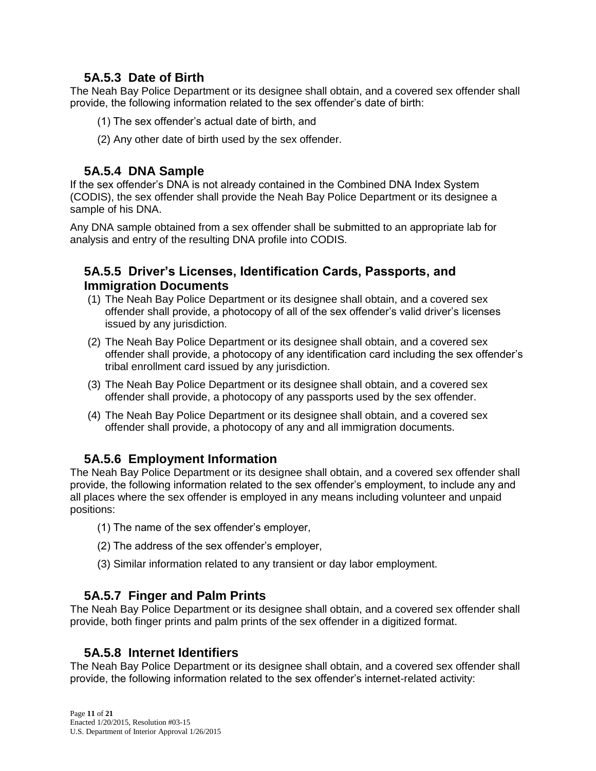## **5A.5.3 Date of Birth**

The Neah Bay Police Department or its designee shall obtain, and a covered sex offender shall provide, the following information related to the sex offender's date of birth:

- (1) The sex offender's actual date of birth, and
- (2) Any other date of birth used by the sex offender.

## **5A.5.4 DNA Sample**

If the sex offender's DNA is not already contained in the Combined DNA Index System (CODIS), the sex offender shall provide the Neah Bay Police Department or its designee a sample of his DNA.

Any DNA sample obtained from a sex offender shall be submitted to an appropriate lab for analysis and entry of the resulting DNA profile into CODIS.

### **5A.5.5 Driver's Licenses, Identification Cards, Passports, and Immigration Documents**

- (1) The Neah Bay Police Department or its designee shall obtain, and a covered sex offender shall provide, a photocopy of all of the sex offender's valid driver's licenses issued by any jurisdiction.
- (2) The Neah Bay Police Department or its designee shall obtain, and a covered sex offender shall provide, a photocopy of any identification card including the sex offender's tribal enrollment card issued by any jurisdiction.
- (3) The Neah Bay Police Department or its designee shall obtain, and a covered sex offender shall provide, a photocopy of any passports used by the sex offender.
- (4) The Neah Bay Police Department or its designee shall obtain, and a covered sex offender shall provide, a photocopy of any and all immigration documents.

## **5A.5.6 Employment Information**

The Neah Bay Police Department or its designee shall obtain, and a covered sex offender shall provide, the following information related to the sex offender's employment, to include any and all places where the sex offender is employed in any means including volunteer and unpaid positions:

- (1) The name of the sex offender's employer,
- (2) The address of the sex offender's employer,
- (3) Similar information related to any transient or day labor employment.

## **5A.5.7 Finger and Palm Prints**

The Neah Bay Police Department or its designee shall obtain, and a covered sex offender shall provide, both finger prints and palm prints of the sex offender in a digitized format.

## **5A.5.8 Internet Identifiers**

The Neah Bay Police Department or its designee shall obtain, and a covered sex offender shall provide, the following information related to the sex offender's internet-related activity: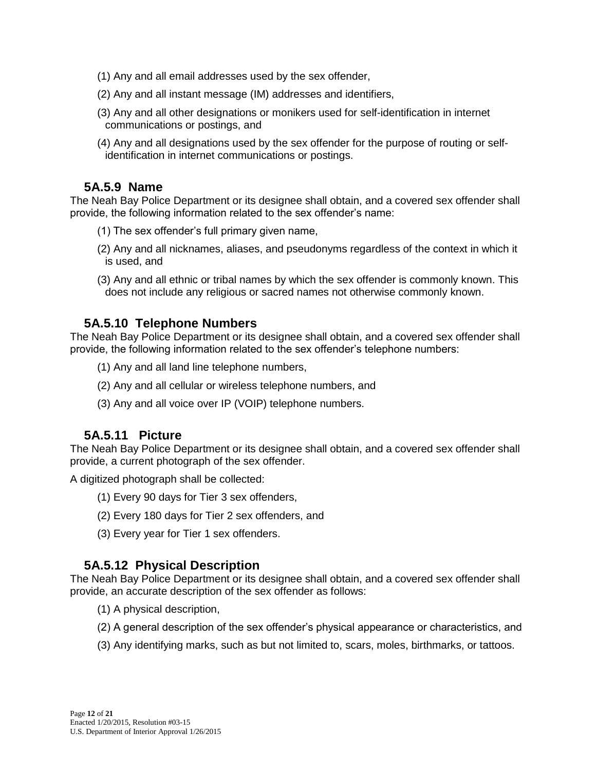- (1) Any and all email addresses used by the sex offender,
- (2) Any and all instant message (IM) addresses and identifiers,
- (3) Any and all other designations or monikers used for self-identification in internet communications or postings, and
- (4) Any and all designations used by the sex offender for the purpose of routing or selfidentification in internet communications or postings.

### **5A.5.9 Name**

The Neah Bay Police Department or its designee shall obtain, and a covered sex offender shall provide, the following information related to the sex offender's name:

- (1) The sex offender's full primary given name,
- (2) Any and all nicknames, aliases, and pseudonyms regardless of the context in which it is used, and
- (3) Any and all ethnic or tribal names by which the sex offender is commonly known. This does not include any religious or sacred names not otherwise commonly known.

#### **5A.5.10 Telephone Numbers**

The Neah Bay Police Department or its designee shall obtain, and a covered sex offender shall provide, the following information related to the sex offender's telephone numbers:

- (1) Any and all land line telephone numbers,
- (2) Any and all cellular or wireless telephone numbers, and
- (3) Any and all voice over IP (VOIP) telephone numbers.

#### **5A.5.11 Picture**

The Neah Bay Police Department or its designee shall obtain, and a covered sex offender shall provide, a current photograph of the sex offender.

A digitized photograph shall be collected:

- (1) Every 90 days for Tier 3 sex offenders,
- (2) Every 180 days for Tier 2 sex offenders, and
- (3) Every year for Tier 1 sex offenders.

## **5A.5.12 Physical Description**

The Neah Bay Police Department or its designee shall obtain, and a covered sex offender shall provide, an accurate description of the sex offender as follows:

- (1) A physical description,
- (2) A general description of the sex offender's physical appearance or characteristics, and
- (3) Any identifying marks, such as but not limited to, scars, moles, birthmarks, or tattoos.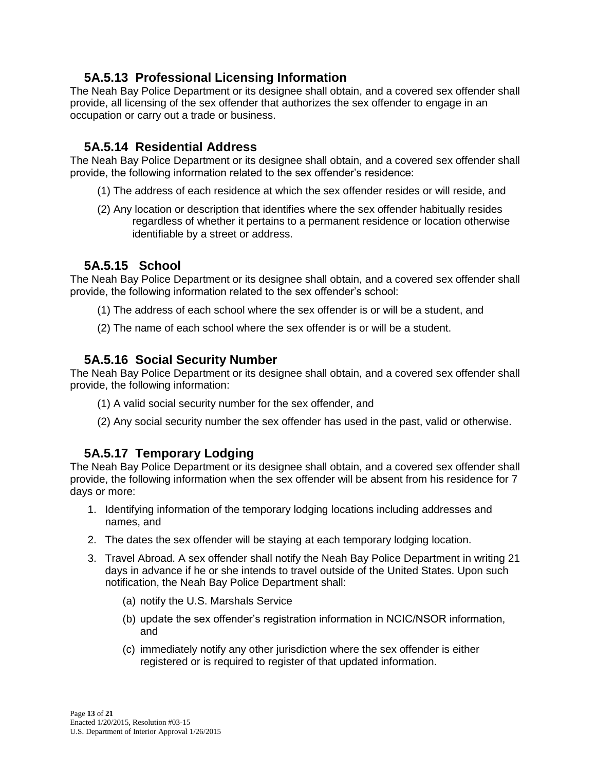## **5A.5.13 Professional Licensing Information**

The Neah Bay Police Department or its designee shall obtain, and a covered sex offender shall provide, all licensing of the sex offender that authorizes the sex offender to engage in an occupation or carry out a trade or business.

## **5A.5.14 Residential Address**

The Neah Bay Police Department or its designee shall obtain, and a covered sex offender shall provide, the following information related to the sex offender's residence:

- (1) The address of each residence at which the sex offender resides or will reside, and
- (2) Any location or description that identifies where the sex offender habitually resides regardless of whether it pertains to a permanent residence or location otherwise identifiable by a street or address.

## **5A.5.15 School**

The Neah Bay Police Department or its designee shall obtain, and a covered sex offender shall provide, the following information related to the sex offender's school:

- (1) The address of each school where the sex offender is or will be a student, and
- (2) The name of each school where the sex offender is or will be a student.

## **5A.5.16 Social Security Number**

The Neah Bay Police Department or its designee shall obtain, and a covered sex offender shall provide, the following information:

- (1) A valid social security number for the sex offender, and
- (2) Any social security number the sex offender has used in the past, valid or otherwise.

## **5A.5.17 Temporary Lodging**

The Neah Bay Police Department or its designee shall obtain, and a covered sex offender shall provide, the following information when the sex offender will be absent from his residence for 7 days or more:

- 1. Identifying information of the temporary lodging locations including addresses and names, and
- 2. The dates the sex offender will be staying at each temporary lodging location.
- 3. Travel Abroad. A sex offender shall notify the Neah Bay Police Department in writing 21 days in advance if he or she intends to travel outside of the United States. Upon such notification, the Neah Bay Police Department shall:
	- (a) notify the U.S. Marshals Service
	- (b) update the sex offender's registration information in NCIC/NSOR information, and
	- (c) immediately notify any other jurisdiction where the sex offender is either registered or is required to register of that updated information.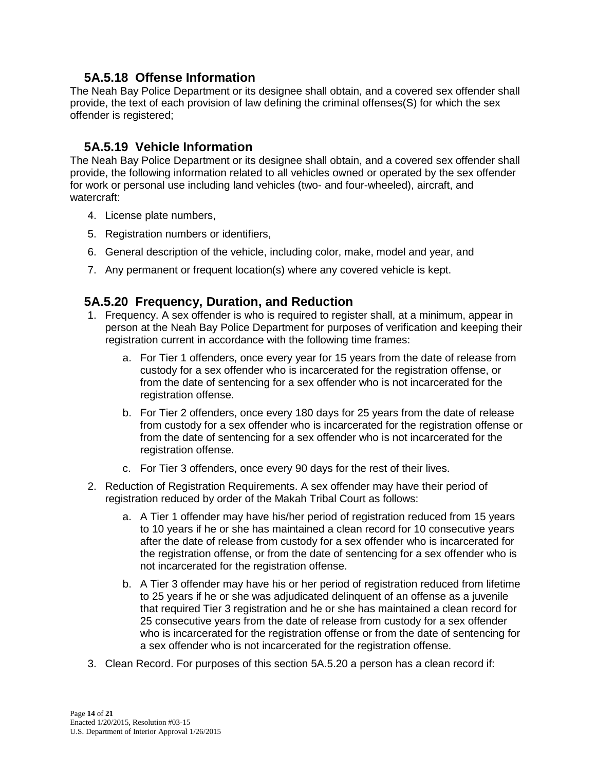## **5A.5.18 Offense Information**

The Neah Bay Police Department or its designee shall obtain, and a covered sex offender shall provide, the text of each provision of law defining the criminal offenses(S) for which the sex offender is registered;

## **5A.5.19 Vehicle Information**

The Neah Bay Police Department or its designee shall obtain, and a covered sex offender shall provide, the following information related to all vehicles owned or operated by the sex offender for work or personal use including land vehicles (two- and four-wheeled), aircraft, and watercraft:

- 4. License plate numbers,
- 5. Registration numbers or identifiers,
- 6. General description of the vehicle, including color, make, model and year, and
- 7. Any permanent or frequent location(s) where any covered vehicle is kept.

#### **5A.5.20 Frequency, Duration, and Reduction**

- 1. Frequency. A sex offender is who is required to register shall, at a minimum, appear in person at the Neah Bay Police Department for purposes of verification and keeping their registration current in accordance with the following time frames:
	- a. For Tier 1 offenders, once every year for 15 years from the date of release from custody for a sex offender who is incarcerated for the registration offense, or from the date of sentencing for a sex offender who is not incarcerated for the registration offense.
	- b. For Tier 2 offenders, once every 180 days for 25 years from the date of release from custody for a sex offender who is incarcerated for the registration offense or from the date of sentencing for a sex offender who is not incarcerated for the registration offense.
	- c. For Tier 3 offenders, once every 90 days for the rest of their lives.
- 2. Reduction of Registration Requirements. A sex offender may have their period of registration reduced by order of the Makah Tribal Court as follows:
	- a. A Tier 1 offender may have his/her period of registration reduced from 15 years to 10 years if he or she has maintained a clean record for 10 consecutive years after the date of release from custody for a sex offender who is incarcerated for the registration offense, or from the date of sentencing for a sex offender who is not incarcerated for the registration offense.
	- b. A Tier 3 offender may have his or her period of registration reduced from lifetime to 25 years if he or she was adjudicated delinquent of an offense as a juvenile that required Tier 3 registration and he or she has maintained a clean record for 25 consecutive years from the date of release from custody for a sex offender who is incarcerated for the registration offense or from the date of sentencing for a sex offender who is not incarcerated for the registration offense.
- 3. Clean Record. For purposes of this section 5A.5.20 a person has a clean record if: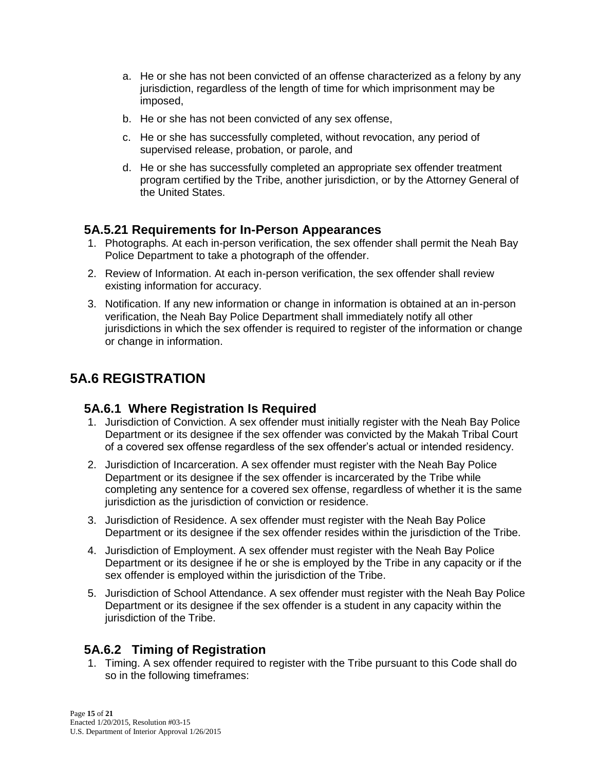- a. He or she has not been convicted of an offense characterized as a felony by any jurisdiction, regardless of the length of time for which imprisonment may be imposed,
- b. He or she has not been convicted of any sex offense,
- c. He or she has successfully completed, without revocation, any period of supervised release, probation, or parole, and
- d. He or she has successfully completed an appropriate sex offender treatment program certified by the Tribe, another jurisdiction, or by the Attorney General of the United States.

### **5A.5.21 Requirements for In-Person Appearances**

- 1. Photographs. At each in-person verification, the sex offender shall permit the Neah Bay Police Department to take a photograph of the offender.
- 2. Review of Information. At each in-person verification, the sex offender shall review existing information for accuracy.
- 3. Notification. If any new information or change in information is obtained at an in-person verification, the Neah Bay Police Department shall immediately notify all other jurisdictions in which the sex offender is required to register of the information or change or change in information.

## **5A.6 REGISTRATION**

## **5A.6.1 Where Registration Is Required**

- 1. Jurisdiction of Conviction. A sex offender must initially register with the Neah Bay Police Department or its designee if the sex offender was convicted by the Makah Tribal Court of a covered sex offense regardless of the sex offender's actual or intended residency.
- 2. Jurisdiction of Incarceration. A sex offender must register with the Neah Bay Police Department or its designee if the sex offender is incarcerated by the Tribe while completing any sentence for a covered sex offense, regardless of whether it is the same jurisdiction as the jurisdiction of conviction or residence.
- 3. Jurisdiction of Residence. A sex offender must register with the Neah Bay Police Department or its designee if the sex offender resides within the jurisdiction of the Tribe.
- 4. Jurisdiction of Employment. A sex offender must register with the Neah Bay Police Department or its designee if he or she is employed by the Tribe in any capacity or if the sex offender is employed within the jurisdiction of the Tribe.
- 5. Jurisdiction of School Attendance. A sex offender must register with the Neah Bay Police Department or its designee if the sex offender is a student in any capacity within the jurisdiction of the Tribe.

## **5A.6.2 Timing of Registration**

1. Timing. A sex offender required to register with the Tribe pursuant to this Code shall do so in the following timeframes: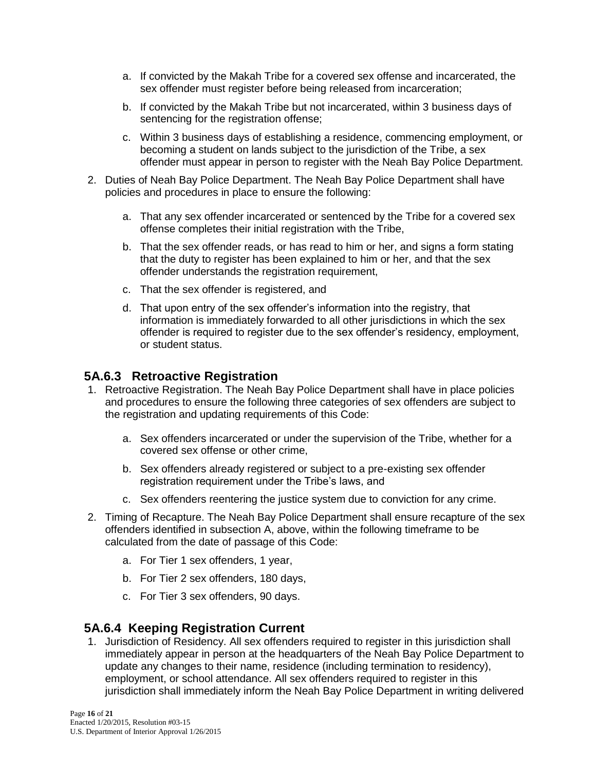- a. If convicted by the Makah Tribe for a covered sex offense and incarcerated, the sex offender must register before being released from incarceration;
- b. If convicted by the Makah Tribe but not incarcerated, within 3 business days of sentencing for the registration offense;
- c. Within 3 business days of establishing a residence, commencing employment, or becoming a student on lands subject to the jurisdiction of the Tribe, a sex offender must appear in person to register with the Neah Bay Police Department.
- 2. Duties of Neah Bay Police Department. The Neah Bay Police Department shall have policies and procedures in place to ensure the following:
	- a. That any sex offender incarcerated or sentenced by the Tribe for a covered sex offense completes their initial registration with the Tribe,
	- b. That the sex offender reads, or has read to him or her, and signs a form stating that the duty to register has been explained to him or her, and that the sex offender understands the registration requirement,
	- c. That the sex offender is registered, and
	- d. That upon entry of the sex offender's information into the registry, that information is immediately forwarded to all other jurisdictions in which the sex offender is required to register due to the sex offender's residency, employment, or student status.

## **5A.6.3 Retroactive Registration**

- 1. Retroactive Registration. The Neah Bay Police Department shall have in place policies and procedures to ensure the following three categories of sex offenders are subject to the registration and updating requirements of this Code:
	- a. Sex offenders incarcerated or under the supervision of the Tribe, whether for a covered sex offense or other crime,
	- b. Sex offenders already registered or subject to a pre-existing sex offender registration requirement under the Tribe's laws, and
	- c. Sex offenders reentering the justice system due to conviction for any crime.
- 2. Timing of Recapture. The Neah Bay Police Department shall ensure recapture of the sex offenders identified in subsection A, above, within the following timeframe to be calculated from the date of passage of this Code:
	- a. For Tier 1 sex offenders, 1 year,
	- b. For Tier 2 sex offenders, 180 days,
	- c. For Tier 3 sex offenders, 90 days.

#### **5A.6.4 Keeping Registration Current**

1. Jurisdiction of Residency. All sex offenders required to register in this jurisdiction shall immediately appear in person at the headquarters of the Neah Bay Police Department to update any changes to their name, residence (including termination to residency), employment, or school attendance. All sex offenders required to register in this jurisdiction shall immediately inform the Neah Bay Police Department in writing delivered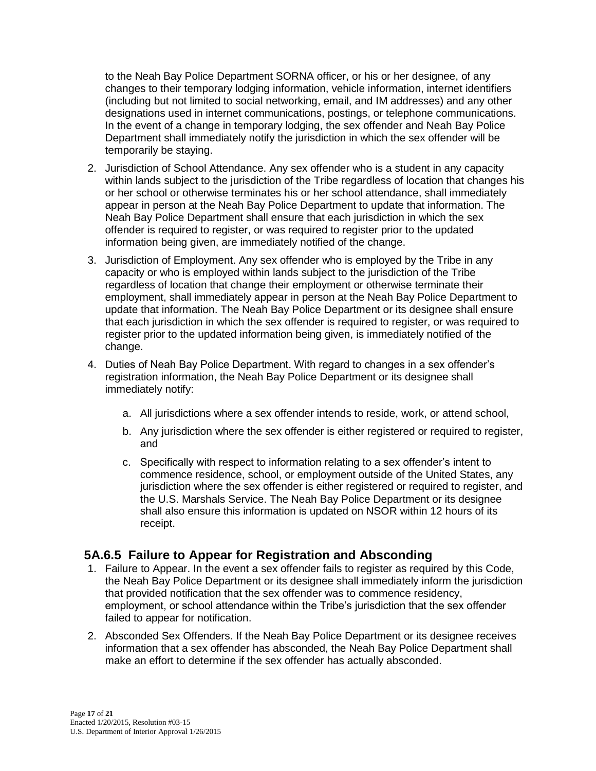to the Neah Bay Police Department SORNA officer, or his or her designee, of any changes to their temporary lodging information, vehicle information, internet identifiers (including but not limited to social networking, email, and IM addresses) and any other designations used in internet communications, postings, or telephone communications. In the event of a change in temporary lodging, the sex offender and Neah Bay Police Department shall immediately notify the jurisdiction in which the sex offender will be temporarily be staying.

- 2. Jurisdiction of School Attendance. Any sex offender who is a student in any capacity within lands subject to the jurisdiction of the Tribe regardless of location that changes his or her school or otherwise terminates his or her school attendance, shall immediately appear in person at the Neah Bay Police Department to update that information. The Neah Bay Police Department shall ensure that each jurisdiction in which the sex offender is required to register, or was required to register prior to the updated information being given, are immediately notified of the change.
- 3. Jurisdiction of Employment. Any sex offender who is employed by the Tribe in any capacity or who is employed within lands subject to the jurisdiction of the Tribe regardless of location that change their employment or otherwise terminate their employment, shall immediately appear in person at the Neah Bay Police Department to update that information. The Neah Bay Police Department or its designee shall ensure that each jurisdiction in which the sex offender is required to register, or was required to register prior to the updated information being given, is immediately notified of the change.
- 4. Duties of Neah Bay Police Department. With regard to changes in a sex offender's registration information, the Neah Bay Police Department or its designee shall immediately notify:
	- a. All jurisdictions where a sex offender intends to reside, work, or attend school,
	- b. Any jurisdiction where the sex offender is either registered or required to register, and
	- c. Specifically with respect to information relating to a sex offender's intent to commence residence, school, or employment outside of the United States, any jurisdiction where the sex offender is either registered or required to register, and the U.S. Marshals Service. The Neah Bay Police Department or its designee shall also ensure this information is updated on NSOR within 12 hours of its receipt.

## **5A.6.5 Failure to Appear for Registration and Absconding**

- 1. Failure to Appear. In the event a sex offender fails to register as required by this Code, the Neah Bay Police Department or its designee shall immediately inform the jurisdiction that provided notification that the sex offender was to commence residency, employment, or school attendance within the Tribe's jurisdiction that the sex offender failed to appear for notification.
- 2. Absconded Sex Offenders. If the Neah Bay Police Department or its designee receives information that a sex offender has absconded, the Neah Bay Police Department shall make an effort to determine if the sex offender has actually absconded.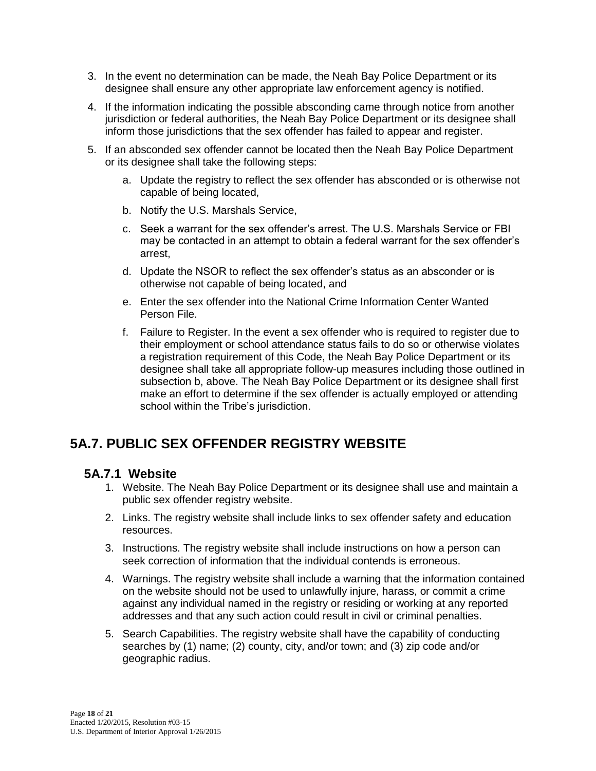- 3. In the event no determination can be made, the Neah Bay Police Department or its designee shall ensure any other appropriate law enforcement agency is notified.
- 4. If the information indicating the possible absconding came through notice from another jurisdiction or federal authorities, the Neah Bay Police Department or its designee shall inform those jurisdictions that the sex offender has failed to appear and register.
- 5. If an absconded sex offender cannot be located then the Neah Bay Police Department or its designee shall take the following steps:
	- a. Update the registry to reflect the sex offender has absconded or is otherwise not capable of being located,
	- b. Notify the U.S. Marshals Service,
	- c. Seek a warrant for the sex offender's arrest. The U.S. Marshals Service or FBI may be contacted in an attempt to obtain a federal warrant for the sex offender's arrest,
	- d. Update the NSOR to reflect the sex offender's status as an absconder or is otherwise not capable of being located, and
	- e. Enter the sex offender into the National Crime Information Center Wanted Person File.
	- f. Failure to Register. In the event a sex offender who is required to register due to their employment or school attendance status fails to do so or otherwise violates a registration requirement of this Code, the Neah Bay Police Department or its designee shall take all appropriate follow-up measures including those outlined in subsection b, above. The Neah Bay Police Department or its designee shall first make an effort to determine if the sex offender is actually employed or attending school within the Tribe's jurisdiction.

## **5A.7. PUBLIC SEX OFFENDER REGISTRY WEBSITE**

#### **5A.7.1 Website**

- 1. Website. The Neah Bay Police Department or its designee shall use and maintain a public sex offender registry website.
- 2. Links. The registry website shall include links to sex offender safety and education resources.
- 3. Instructions. The registry website shall include instructions on how a person can seek correction of information that the individual contends is erroneous.
- 4. Warnings. The registry website shall include a warning that the information contained on the website should not be used to unlawfully injure, harass, or commit a crime against any individual named in the registry or residing or working at any reported addresses and that any such action could result in civil or criminal penalties.
- 5. Search Capabilities. The registry website shall have the capability of conducting searches by (1) name; (2) county, city, and/or town; and (3) zip code and/or geographic radius.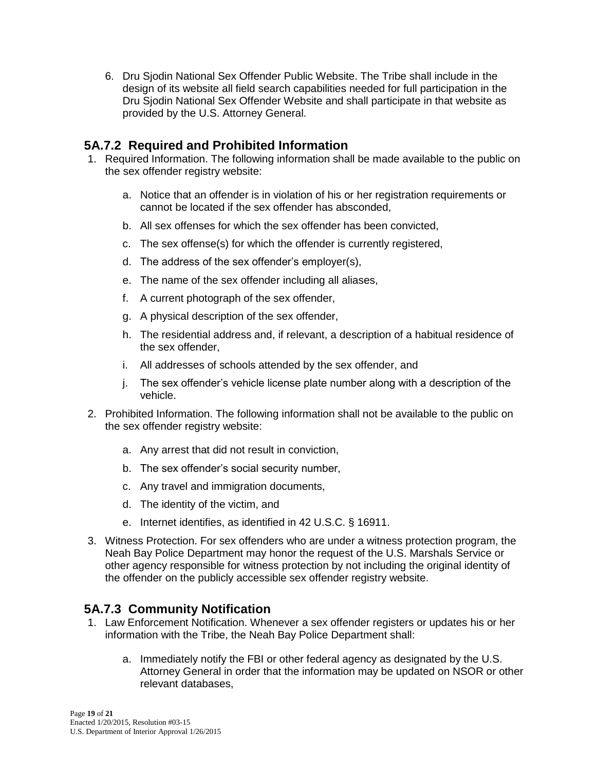6. Dru Sjodin National Sex Offender Public Website. The Tribe shall include in the design of its website all field search capabilities needed for full participation in the Dru Sjodin National Sex Offender Website and shall participate in that website as provided by the U.S. Attorney General.

### **5A.7.2 Required and Prohibited Information**

- 1. Required Information. The following information shall be made available to the public on the sex offender registry website:
	- a. Notice that an offender is in violation of his or her registration requirements or cannot be located if the sex offender has absconded,
	- b. All sex offenses for which the sex offender has been convicted,
	- c. The sex offense(s) for which the offender is currently registered,
	- d. The address of the sex offender's employer(s),
	- e. The name of the sex offender including all aliases,
	- f. A current photograph of the sex offender,
	- g. A physical description of the sex offender,
	- h. The residential address and, if relevant, a description of a habitual residence of the sex offender,
	- i. All addresses of schools attended by the sex offender, and
	- j. The sex offender's vehicle license plate number along with a description of the vehicle.
- 2. Prohibited Information. The following information shall not be available to the public on the sex offender registry website:
	- a. Any arrest that did not result in conviction,
	- b. The sex offender's social security number,
	- c. Any travel and immigration documents,
	- d. The identity of the victim, and
	- e. Internet identifies, as identified in 42 U.S.C. § 16911.
- 3. Witness Protection. For sex offenders who are under a witness protection program, the Neah Bay Police Department may honor the request of the U.S. Marshals Service or other agency responsible for witness protection by not including the original identity of the offender on the publicly accessible sex offender registry website.

## **5A.7.3 Community Notification**

- 1. Law Enforcement Notification. Whenever a sex offender registers or updates his or her information with the Tribe, the Neah Bay Police Department shall:
	- a. Immediately notify the FBI or other federal agency as designated by the U.S. Attorney General in order that the information may be updated on NSOR or other relevant databases,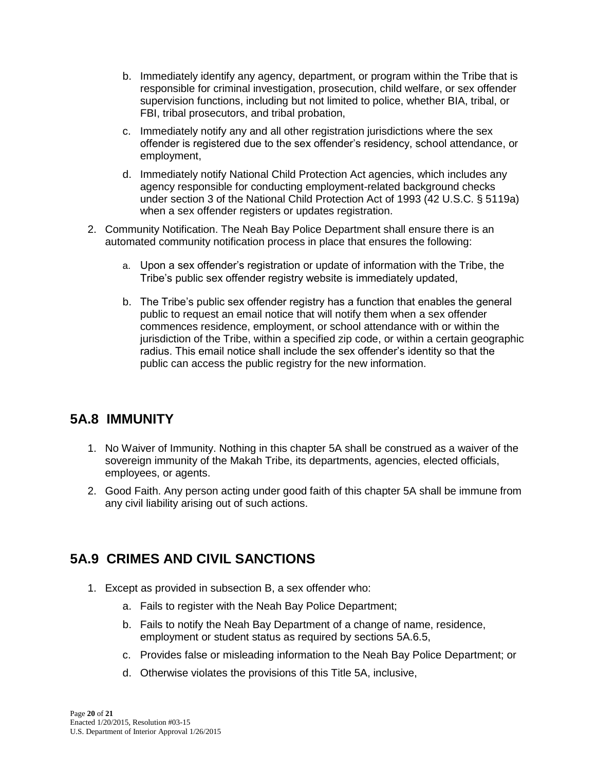- b. Immediately identify any agency, department, or program within the Tribe that is responsible for criminal investigation, prosecution, child welfare, or sex offender supervision functions, including but not limited to police, whether BIA, tribal, or FBI, tribal prosecutors, and tribal probation,
- c. Immediately notify any and all other registration jurisdictions where the sex offender is registered due to the sex offender's residency, school attendance, or employment,
- d. Immediately notify National Child Protection Act agencies, which includes any agency responsible for conducting employment-related background checks under section 3 of the National Child Protection Act of 1993 (42 U.S.C. § 5119a) when a sex offender registers or updates registration.
- 2. Community Notification. The Neah Bay Police Department shall ensure there is an automated community notification process in place that ensures the following:
	- a. Upon a sex offender's registration or update of information with the Tribe, the Tribe's public sex offender registry website is immediately updated,
	- b. The Tribe's public sex offender registry has a function that enables the general public to request an email notice that will notify them when a sex offender commences residence, employment, or school attendance with or within the jurisdiction of the Tribe, within a specified zip code, or within a certain geographic radius. This email notice shall include the sex offender's identity so that the public can access the public registry for the new information.

## **5A.8 IMMUNITY**

- 1. No Waiver of Immunity. Nothing in this chapter 5A shall be construed as a waiver of the sovereign immunity of the Makah Tribe, its departments, agencies, elected officials, employees, or agents.
- 2. Good Faith. Any person acting under good faith of this chapter 5A shall be immune from any civil liability arising out of such actions.

## **5A.9 CRIMES AND CIVIL SANCTIONS**

- 1. Except as provided in subsection B, a sex offender who:
	- a. Fails to register with the Neah Bay Police Department;
	- b. Fails to notify the Neah Bay Department of a change of name, residence, employment or student status as required by sections 5A.6.5,
	- c. Provides false or misleading information to the Neah Bay Police Department; or
	- d. Otherwise violates the provisions of this Title 5A, inclusive,